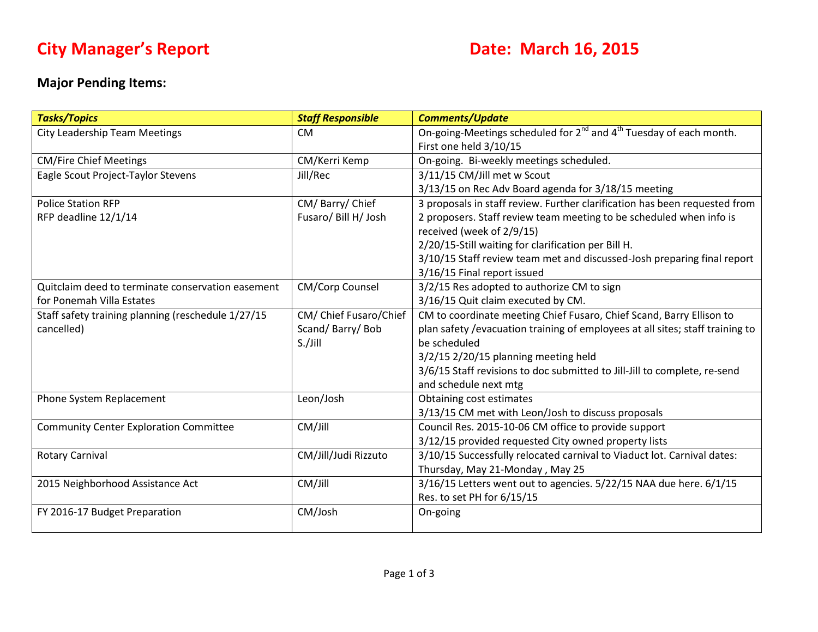# **City Manager's Report Date: March 16, 2015**

## **Major Pending Items:**

| <b>Tasks/Topics</b>                                | <b>Staff Responsible</b> | <b>Comments/Update</b>                                                                     |
|----------------------------------------------------|--------------------------|--------------------------------------------------------------------------------------------|
| <b>City Leadership Team Meetings</b>               | <b>CM</b>                | On-going-Meetings scheduled for 2 <sup>nd</sup> and 4 <sup>th</sup> Tuesday of each month. |
|                                                    |                          | First one held 3/10/15                                                                     |
| <b>CM/Fire Chief Meetings</b>                      | CM/Kerri Kemp            | On-going. Bi-weekly meetings scheduled.                                                    |
| Eagle Scout Project-Taylor Stevens                 | Jill/Rec                 | 3/11/15 CM/Jill met w Scout                                                                |
|                                                    |                          | 3/13/15 on Rec Adv Board agenda for 3/18/15 meeting                                        |
| <b>Police Station RFP</b>                          | CM/Barry/Chief           | 3 proposals in staff review. Further clarification has been requested from                 |
| RFP deadline 12/1/14                               | Fusaro/ Bill H/ Josh     | 2 proposers. Staff review team meeting to be scheduled when info is                        |
|                                                    |                          | received (week of 2/9/15)                                                                  |
|                                                    |                          | 2/20/15-Still waiting for clarification per Bill H.                                        |
|                                                    |                          | 3/10/15 Staff review team met and discussed-Josh preparing final report                    |
|                                                    |                          | 3/16/15 Final report issued                                                                |
| Quitclaim deed to terminate conservation easement  | CM/Corp Counsel          | 3/2/15 Res adopted to authorize CM to sign                                                 |
| for Ponemah Villa Estates                          |                          | 3/16/15 Quit claim executed by CM.                                                         |
| Staff safety training planning (reschedule 1/27/15 | CM/ Chief Fusaro/Chief   | CM to coordinate meeting Chief Fusaro, Chief Scand, Barry Ellison to                       |
| cancelled)                                         | Scand/Barry/Bob          | plan safety /evacuation training of employees at all sites; staff training to              |
|                                                    | S./Jill                  | be scheduled                                                                               |
|                                                    |                          | $3/2/15$ 2/20/15 planning meeting held                                                     |
|                                                    |                          | 3/6/15 Staff revisions to doc submitted to Jill-Jill to complete, re-send                  |
|                                                    |                          | and schedule next mtg                                                                      |
| Phone System Replacement                           | Leon/Josh                | Obtaining cost estimates                                                                   |
|                                                    |                          | 3/13/15 CM met with Leon/Josh to discuss proposals                                         |
| <b>Community Center Exploration Committee</b>      | CM/Jill                  | Council Res. 2015-10-06 CM office to provide support                                       |
|                                                    |                          | 3/12/15 provided requested City owned property lists                                       |
| <b>Rotary Carnival</b>                             | CM/Jill/Judi Rizzuto     | 3/10/15 Successfully relocated carnival to Viaduct lot. Carnival dates:                    |
|                                                    |                          | Thursday, May 21-Monday, May 25                                                            |
| 2015 Neighborhood Assistance Act                   | CM/Jill                  | 3/16/15 Letters went out to agencies. 5/22/15 NAA due here. 6/1/15                         |
|                                                    |                          | Res. to set PH for 6/15/15                                                                 |
| FY 2016-17 Budget Preparation                      | CM/Josh                  | On-going                                                                                   |
|                                                    |                          |                                                                                            |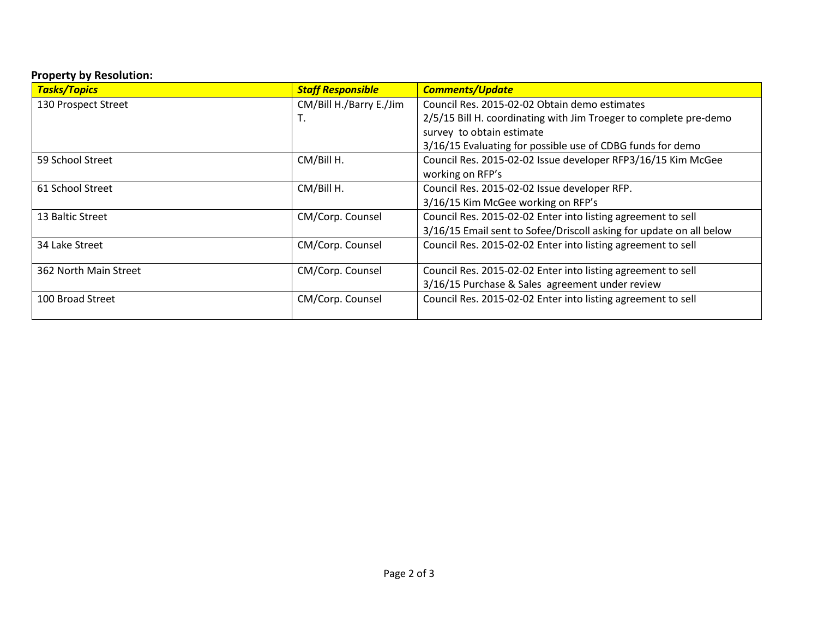## **Property by Resolution:**

| <b>Tasks/Topics</b>   | <b>Staff Responsible</b> | <b>Comments/Update</b>                                              |
|-----------------------|--------------------------|---------------------------------------------------------------------|
| 130 Prospect Street   | CM/Bill H./Barry E./Jim  | Council Res. 2015-02-02 Obtain demo estimates                       |
|                       | ι.                       | 2/5/15 Bill H. coordinating with Jim Troeger to complete pre-demo   |
|                       |                          | survey to obtain estimate                                           |
|                       |                          | 3/16/15 Evaluating for possible use of CDBG funds for demo          |
| 59 School Street      | CM/Bill H.               | Council Res. 2015-02-02 Issue developer RFP3/16/15 Kim McGee        |
|                       |                          | working on RFP's                                                    |
| 61 School Street      | CM/Bill H.               | Council Res. 2015-02-02 Issue developer RFP.                        |
|                       |                          | 3/16/15 Kim McGee working on RFP's                                  |
| 13 Baltic Street      | CM/Corp. Counsel         | Council Res. 2015-02-02 Enter into listing agreement to sell        |
|                       |                          | 3/16/15 Email sent to Sofee/Driscoll asking for update on all below |
| 34 Lake Street        | CM/Corp. Counsel         | Council Res. 2015-02-02 Enter into listing agreement to sell        |
|                       |                          |                                                                     |
| 362 North Main Street | CM/Corp. Counsel         | Council Res. 2015-02-02 Enter into listing agreement to sell        |
|                       |                          | 3/16/15 Purchase & Sales agreement under review                     |
| 100 Broad Street      | CM/Corp. Counsel         | Council Res. 2015-02-02 Enter into listing agreement to sell        |
|                       |                          |                                                                     |